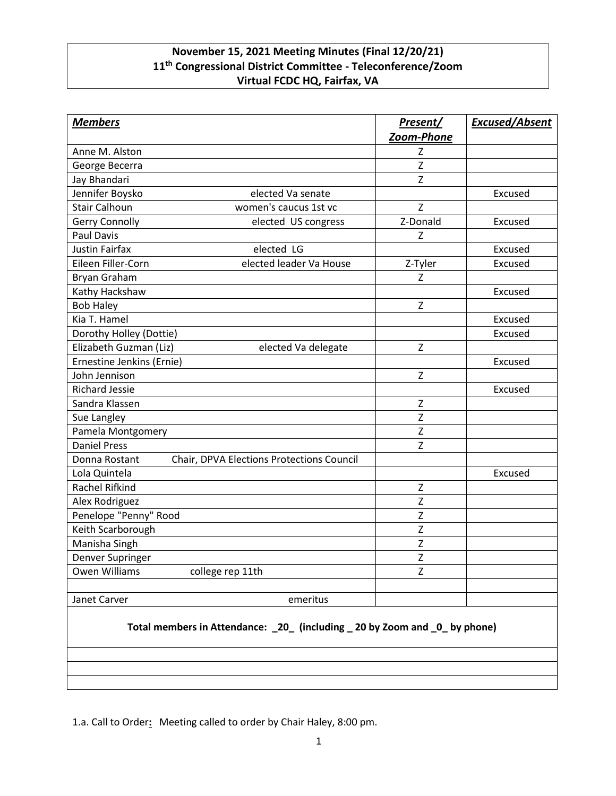## **November 15, 2021 Meeting Minutes (Final 12/20/21) 11th Congressional District Committee - Teleconference/Zoom Virtual FCDC HQ, Fairfax, VA**

| <b>Members</b>                                                             | Present/<br>Zoom-Phone | Excused/Absent |
|----------------------------------------------------------------------------|------------------------|----------------|
| Anne M. Alston                                                             | Ζ                      |                |
| George Becerra                                                             | Z                      |                |
| Jay Bhandari                                                               | Z                      |                |
| Jennifer Boysko<br>elected Va senate                                       |                        | Excused        |
| <b>Stair Calhoun</b><br>women's caucus 1st vc                              | Z                      |                |
| Gerry Connolly<br>elected US congress                                      | Z-Donald               | Excused        |
| <b>Paul Davis</b>                                                          | Z                      |                |
| <b>Justin Fairfax</b><br>elected LG                                        |                        | Excused        |
| Eileen Filler-Corn<br>elected leader Va House                              | Z-Tyler                | Excused        |
| Bryan Graham                                                               | Z                      |                |
| Kathy Hackshaw                                                             |                        | Excused        |
| <b>Bob Haley</b>                                                           | $\mathsf Z$            |                |
| Kia T. Hamel                                                               |                        | Excused        |
| Dorothy Holley (Dottie)                                                    |                        | Excused        |
| Elizabeth Guzman (Liz)<br>elected Va delegate                              | $\mathsf{Z}$           |                |
| Ernestine Jenkins (Ernie)                                                  |                        | Excused        |
| John Jennison                                                              | Z                      |                |
| <b>Richard Jessie</b>                                                      |                        | Excused        |
| Sandra Klassen                                                             | $\mathsf Z$            |                |
| Sue Langley                                                                | Z                      |                |
| Pamela Montgomery                                                          | $\mathsf Z$            |                |
| <b>Daniel Press</b>                                                        | $\mathsf{Z}$           |                |
| Donna Rostant<br>Chair, DPVA Elections Protections Council                 |                        |                |
| Lola Quintela                                                              |                        | Excused        |
| Rachel Rifkind                                                             | Z                      |                |
| Alex Rodriguez                                                             | Z                      |                |
| Penelope "Penny" Rood                                                      | Z                      |                |
| Keith Scarborough                                                          | Z                      |                |
| Manisha Singh                                                              | Z                      |                |
| Denver Supringer                                                           | Z                      |                |
| Owen Williams<br>college rep 11th                                          | Z                      |                |
| Janet Carver<br>emeritus                                                   |                        |                |
| Total members in Attendance: _20_ (including _20 by Zoom and _0_ by phone) |                        |                |

1.a. Call to Order**:** Meeting called to order by Chair Haley, 8:00 pm.